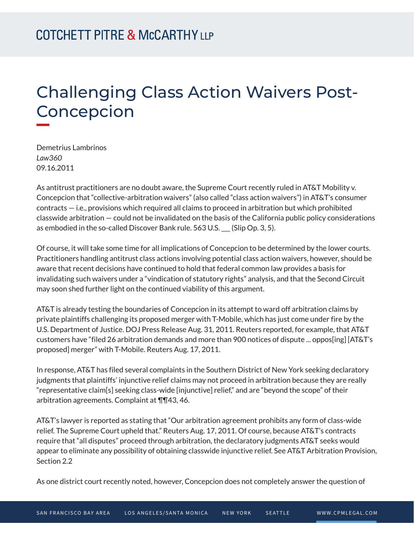# Challenging Class Action Waivers Post-Concepcion

Demetrius Lambrinos *Law360* 09.16.2011

**William** 

As antitrust practitioners are no doubt aware, the Supreme Court recently ruled in AT&T Mobility v. Concepcion that "collective-arbitration waivers" (also called "class action waivers") in AT&T's consumer contracts — i.e., provisions which required all claims to proceed in arbitration but which prohibited classwide arbitration — could not be invalidated on the basis of the California public policy considerations as embodied in the so-called Discover Bank rule. 563 U.S. \_\_\_ (Slip Op. 3, 5).

Of course, it will take some time for all implications of Concepcion to be determined by the lower courts. Practitioners handling antitrust class actions involving potential class action waivers, however, should be aware that recent decisions have continued to hold that federal common law provides a basis for invalidating such waivers under a "vindication of statutory rights" analysis, and that the Second Circuit may soon shed further light on the continued viability of this argument.

AT&T is already testing the boundaries of Concepcion in its attempt to ward off arbitration claims by private plaintiffs challenging its proposed merger with T-Mobile, which has just come under fire by the U.S. Department of Justice. DOJ Press Release Aug. 31, 2011. Reuters reported, for example, that AT&T customers have "filed 26 arbitration demands and more than 900 notices of dispute ... oppos[ing] [AT&T's proposed] merger" with T-Mobile. Reuters Aug. 17, 2011.

In response, AT&T has filed several complaints in the Southern District of New York seeking declaratory judgments that plaintiffs' injunctive relief claims may not proceed in arbitration because they are really "representative claim[s] seeking class-wide [injunctive] relief," and are "beyond the scope" of their arbitration agreements. Complaint at ¶¶43, 46.

AT&T's lawyer is reported as stating that "Our arbitration agreement prohibits any form of class-wide relief. The Supreme Court upheld that." Reuters Aug. 17, 2011. Of course, because AT&T's contracts require that "all disputes" proceed through arbitration, the declaratory judgments AT&T seeks would appear to eliminate any possibility of obtaining classwide injunctive relief. See AT&T Arbitration Provision, Section 2.2

As one district court recently noted, however, Concepcion does not completely answer the question of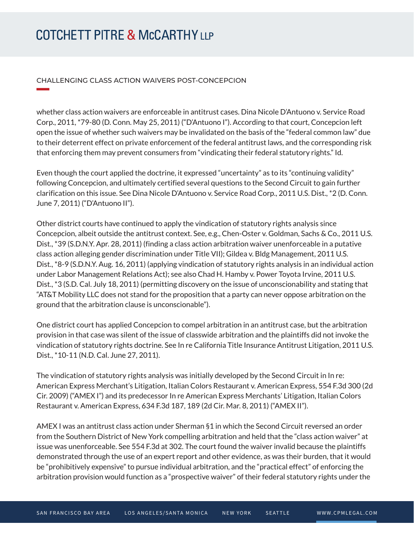# **COTCHETT PITRE & McCARTHY LLP**

**William Company** 

#### CHALLENGING CLASS ACTION WAIVERS POST-CONCEPCION

whether class action waivers are enforceable in antitrust cases. Dina Nicole D'Antuono v. Service Road Corp., 2011, \*79-80 (D. Conn. May 25, 2011) ("D'Antuono I"). According to that court, Concepcion left open the issue of whether such waivers may be invalidated on the basis of the "federal common law" due to their deterrent effect on private enforcement of the federal antitrust laws, and the corresponding risk that enforcing them may prevent consumers from "vindicating their federal statutory rights." Id.

Even though the court applied the doctrine, it expressed "uncertainty" as to its "continuing validity" following Concepcion, and ultimately certified several questions to the Second Circuit to gain further clarification on this issue. See Dina Nicole D'Antuono v. Service Road Corp., 2011 U.S. Dist., \*2 (D. Conn. June 7, 2011) ("D'Antuono II").

Other district courts have continued to apply the vindication of statutory rights analysis since Concepcion, albeit outside the antitrust context. See, e.g., Chen-Oster v. Goldman, Sachs & Co., 2011 U.S. Dist., \*39 (S.D.N.Y. Apr. 28, 2011) (finding a class action arbitration waiver unenforceable in a putative class action alleging gender discrimination under Title VII); Gildea v. Bldg Management, 2011 U.S. Dist., \*8-9 (S.D.N.Y. Aug. 16, 2011) (applying vindication of statutory rights analysis in an individual action under Labor Management Relations Act); see also Chad H. Hamby v. Power Toyota Irvine, 2011 U.S. Dist., \*3 (S.D. Cal. July 18, 2011) (permitting discovery on the issue of unconscionability and stating that "AT&T Mobility LLC does not stand for the proposition that a party can never oppose arbitration on the ground that the arbitration clause is unconscionable").

One district court has applied Concepcion to compel arbitration in an antitrust case, but the arbitration provision in that case was silent of the issue of classwide arbitration and the plaintiffs did not invoke the vindication of statutory rights doctrine. See In re California Title Insurance Antitrust Litigation, 2011 U.S. Dist., \*10-11 (N.D. Cal. June 27, 2011).

The vindication of statutory rights analysis was initially developed by the Second Circuit in In re: American Express Merchant's Litigation, Italian Colors Restaurant v. American Express, 554 F.3d 300 (2d Cir. 2009) ("AMEX I") and its predecessor In re American Express Merchants' Litigation, Italian Colors Restaurant v. American Express, 634 F.3d 187, 189 (2d Cir. Mar. 8, 2011) ("AMEX II").

AMEX I was an antitrust class action under Sherman §1 in which the Second Circuit reversed an order from the Southern District of New York compelling arbitration and held that the "class action waiver" at issue was unenforceable. See 554 F.3d at 302. The court found the waiver invalid because the plaintiffs demonstrated through the use of an expert report and other evidence, as was their burden, that it would be "prohibitively expensive" to pursue individual arbitration, and the "practical effect" of enforcing the arbitration provision would function as a "prospective waiver" of their federal statutory rights under the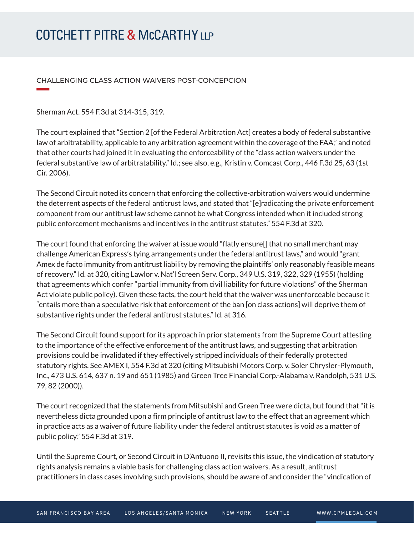# **COTCHETT PITRE & McCARTHY LLP**

CHALLENGING CLASS ACTION WAIVERS POST-CONCEPCION

Sherman Act. 554 F.3d at 314-315, 319.

**William Company** 

The court explained that "Section 2 [of the Federal Arbitration Act] creates a body of federal substantive law of arbitratability, applicable to any arbitration agreement within the coverage of the FAA," and noted that other courts had joined it in evaluating the enforceability of the "class action waivers under the federal substantive law of arbitratability." Id.; see also, e.g., Kristin v. Comcast Corp., 446 F.3d 25, 63 (1st Cir. 2006).

The Second Circuit noted its concern that enforcing the collective-arbitration waivers would undermine the deterrent aspects of the federal antitrust laws, and stated that "[e]radicating the private enforcement component from our antitrust law scheme cannot be what Congress intended when it included strong public enforcement mechanisms and incentives in the antitrust statutes." 554 F.3d at 320.

The court found that enforcing the waiver at issue would "flatly ensure[] that no small merchant may challenge American Express's tying arrangements under the federal antitrust laws," and would "grant Amex de facto immunity from antitrust liability by removing the plaintiffs' only reasonably feasible means of recovery." Id. at 320, citing Lawlor v. Nat'l Screen Serv. Corp., 349 U.S. 319, 322, 329 (1955) (holding that agreements which confer "partial immunity from civil liability for future violations" of the Sherman Act violate public policy). Given these facts, the court held that the waiver was unenforceable because it "entails more than a speculative risk that enforcement of the ban [on class actions] will deprive them of substantive rights under the federal antitrust statutes." Id. at 316.

The Second Circuit found support for its approach in prior statements from the Supreme Court attesting to the importance of the effective enforcement of the antitrust laws, and suggesting that arbitration provisions could be invalidated if they effectively stripped individuals of their federally protected statutory rights. See AMEX I, 554 F.3d at 320 (citing Mitsubishi Motors Corp. v. Soler Chrysler-Plymouth, Inc., 473 U.S. 614, 637 n. 19 and 651 (1985) and Green Tree Financial Corp.-Alabama v. Randolph, 531 U.S. 79, 82 (2000)).

The court recognized that the statements from Mitsubishi and Green Tree were dicta, but found that "it is nevertheless dicta grounded upon a firm principle of antitrust law to the effect that an agreement which in practice acts as a waiver of future liability under the federal antitrust statutes is void as a matter of public policy." 554 F.3d at 319.

Until the Supreme Court, or Second Circuit in D'Antuono II, revisits this issue, the vindication of statutory rights analysis remains a viable basis for challenging class action waivers. As a result, antitrust practitioners in class cases involving such provisions, should be aware of and consider the "vindication of